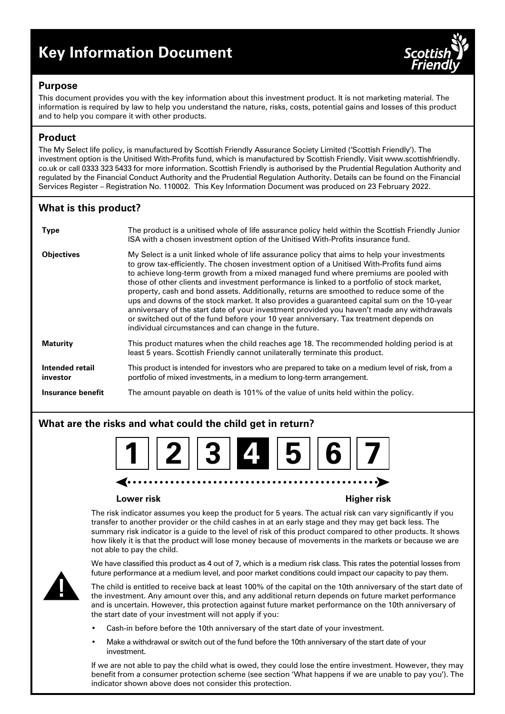# **Key Information Document**



#### **Purpose**

This document provides you with the key information about this investment product. It is not marketing material. The information is required by law to help you understand the nature, risks, costs, potential gains and losses of this product and to help you compare it with other products.

## **Product**

The My Select life policy, is manufactured by Scottish Friendly Assurance Society Limited ('Scottish Friendly'). The investment option is the Unitised With-Profits fund, which is manufactured by Scottish Friendly. Visit www.scottishfriendly. co.uk or call 0333 323 5433 for more information. Scottish Friendly is authorised by the Prudential Regulation Authority and regulated by the Financial Conduct Authority and the Prudential Regulation Authority. Details can be found on the Financial Services Register – Registration No. 110002. This Key Information Document was produced on 23 February 2022.

# **What is this product?**

| <b>Type</b>                 | The product is a unitised whole of life assurance policy held within the Scottish Friendly Junior<br>ISA with a chosen investment option of the Unitised With-Profits insurance fund.                                                                                                                                                                                                                                                                                                                                                                                                                                                                                                                                                                                                                                         |
|-----------------------------|-------------------------------------------------------------------------------------------------------------------------------------------------------------------------------------------------------------------------------------------------------------------------------------------------------------------------------------------------------------------------------------------------------------------------------------------------------------------------------------------------------------------------------------------------------------------------------------------------------------------------------------------------------------------------------------------------------------------------------------------------------------------------------------------------------------------------------|
| <b>Objectives</b>           | My Select is a unit linked whole of life assurance policy that aims to help your investments<br>to grow tax-efficiently. The chosen investment option of a Unitised With-Profits fund aims<br>to achieve long-term growth from a mixed managed fund where premiums are pooled with<br>those of other clients and investment performance is linked to a portfolio of stock market,<br>property, cash and bond assets. Additionally, returns are smoothed to reduce some of the<br>ups and downs of the stock market. It also provides a guaranteed capital sum on the 10-year<br>anniversary of the start date of your investment provided you haven't made any withdrawals<br>or switched out of the fund before your 10 year anniversary. Tax treatment depends on<br>individual circumstances and can change in the future. |
| <b>Maturity</b>             | This product matures when the child reaches age 18. The recommended holding period is at<br>least 5 years. Scottish Friendly cannot unilaterally terminate this product.                                                                                                                                                                                                                                                                                                                                                                                                                                                                                                                                                                                                                                                      |
| Intended retail<br>investor | This product is intended for investors who are prepared to take on a medium level of risk, from a<br>portfolio of mixed investments, in a medium to long-term arrangement.                                                                                                                                                                                                                                                                                                                                                                                                                                                                                                                                                                                                                                                    |
| Insurance benefit           | The amount payable on death is 101% of the value of units held within the policy.                                                                                                                                                                                                                                                                                                                                                                                                                                                                                                                                                                                                                                                                                                                                             |

# **What are the risks and what could the child get in return?**



#### **Lower risk Higher risk**

The risk indicator assumes you keep the product for 5 years. The actual risk can vary significantly if you transfer to another provider or the child cashes in at an early stage and they may get back less. The summary risk indicator is a guide to the level of risk of this product compared to other products. It shows how likely it is that the product will lose money because of movements in the markets or because we are not able to pay the child.



We have classified this product as 4 out of 7, which is a medium risk class. This rates the potential losses from future performance at a medium level, and poor market conditions could impact our capacity to pay them.

The child is entitled to receive back at least 100% of the capital on the 10th anniversary of the start date of the investment. Any amount over this, and any additional return depends on future market performance and is uncertain. However, this protection against future market performance on the 10th anniversary of the start date of your investment will not apply if you:

- Cash-in before before the 10th anniversary of the start date of your investment.
- Make a withdrawal or switch out of the fund before the 10th anniversary of the start date of your investment.

If we are not able to pay the child what is owed, they could lose the entire investment. However, they may benefit from a consumer protection scheme (see section 'What happens if we are unable to pay you'). The indicator shown above does not consider this protection.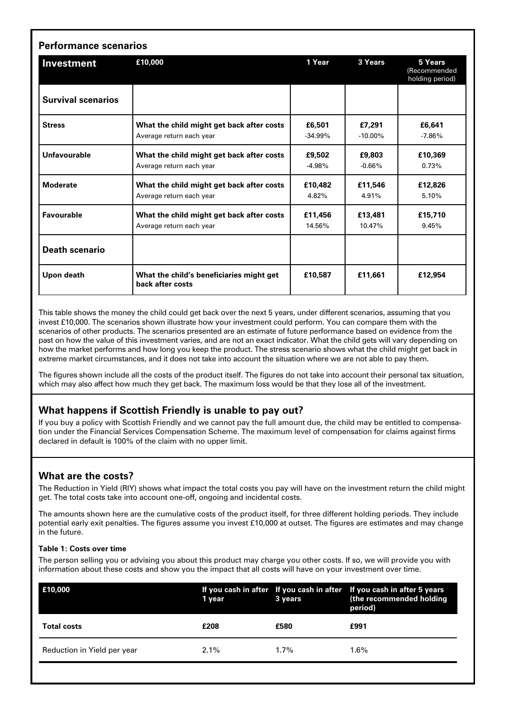| <b>Performance scenarios</b> |                                                                       |                     |                      |                                            |  |  |
|------------------------------|-----------------------------------------------------------------------|---------------------|----------------------|--------------------------------------------|--|--|
| Investment                   | £10,000                                                               | 1 Year              | 3 Years              | 5 Years<br>(Recommended<br>holding period) |  |  |
| <b>Survival scenarios</b>    |                                                                       |                     |                      |                                            |  |  |
| <b>Stress</b>                | What the child might get back after costs<br>Average return each year | £6,501<br>$-34.99%$ | £7,291<br>$-10.00\%$ | £6,641<br>$-7.86\%$                        |  |  |
| Unfavourable                 | What the child might get back after costs<br>Average return each year | £9,502<br>$-4.98%$  | £9,803<br>$-0.66%$   | £10,369<br>0.73%                           |  |  |
| <b>Moderate</b>              | What the child might get back after costs<br>Average return each year | £10,482<br>4.82%    | £11.546<br>4.91%     | £12,826<br>5.10%                           |  |  |
| Favourable                   | What the child might get back after costs<br>Average return each year | £11,456<br>14.56%   | £13,481<br>10.47%    | £15,710<br>9.45%                           |  |  |
| <b>Death scenario</b>        |                                                                       |                     |                      |                                            |  |  |
| Upon death                   | What the child's beneficiaries might get<br>back after costs          | £10.587             | £11,661              | £12,954                                    |  |  |

This table shows the money the child could get back over the next 5 years, under different scenarios, assuming that you invest £10,000. The scenarios shown illustrate how your investment could perform. You can compare them with the scenarios of other products. The scenarios presented are an estimate of future performance based on evidence from the past on how the value of this investment varies, and are not an exact indicator. What the child gets will vary depending on how the market performs and how long you keep the product. The stress scenario shows what the child might get back in extreme market circumstances, and it does not take into account the situation where we are not able to pay them.

The figures shown include all the costs of the product itself. The figures do not take into account their personal tax situation, which may also affect how much they get back. The maximum loss would be that they lose all of the investment.

### **What happens if Scottish Friendly is unable to pay out?**

If you buy a policy with Scottish Friendly and we cannot pay the full amount due, the child may be entitled to compensation under the Financial Services Compensation Scheme. The maximum level of compensation for claims against firms declared in default is 100% of the claim with no upper limit.

### **What are the costs?**

The Reduction in Yield (RIY) shows what impact the total costs you pay will have on the investment return the child might get. The total costs take into account one-off, ongoing and incidental costs.

The amounts shown here are the cumulative costs of the product itself, for three different holding periods. They include potential early exit penalties. The figures assume you invest £10,000 at outset. The figures are estimates and may change in the future.

#### **Table 1: Costs over time**

The person selling you or advising you about this product may charge you other costs. If so, we will provide you with information about these costs and show you the impact that all costs will have on your investment over time.

| E10,000                     | 1 year  | 3 years | If you cash in after If you cash in after If you cash in after 5 years<br>(the recommended holding<br>period) |
|-----------------------------|---------|---------|---------------------------------------------------------------------------------------------------------------|
| <b>Total costs</b>          | £208    | £580    | £991                                                                                                          |
| Reduction in Yield per year | $2.1\%$ | $1.7\%$ | $1.6\%$                                                                                                       |